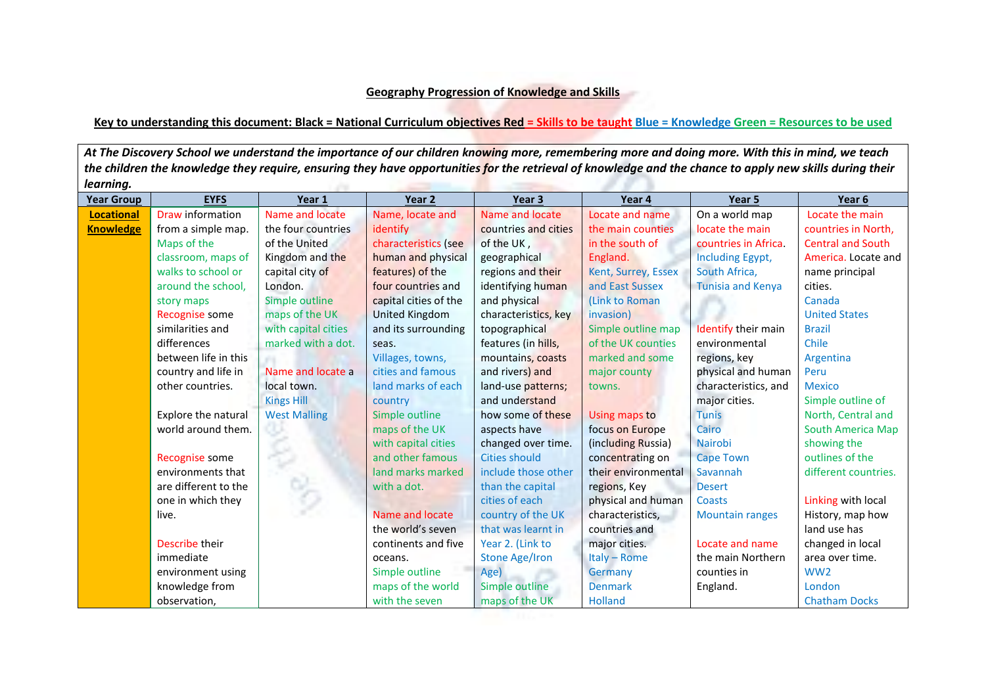## **Geography Progression of Knowledge and Skills**

## **Key to understanding this document: Black = National Curriculum objectives Red = Skills to be taught Blue = Knowledge Green = Resources to be used**

*At The Discovery School we understand the importance of our children knowing more, remembering more and doing more. With this in mind, we teach the children the knowledge they require, ensuring they have opportunities for the retrieval of knowledge and the chance to apply new skills during their learning.*  the company of the company of the

| <b>Year Group</b> | <b>EYFS</b>          | Year 1              | Year <sub>2</sub>     | Year 3                | Year 4              | Year 5                   | Year 6                   |
|-------------------|----------------------|---------------------|-----------------------|-----------------------|---------------------|--------------------------|--------------------------|
| <b>Locational</b> | Draw information     | Name and locate     | Name, locate and      | Name and locate       | Locate and name     | On a world map           | Locate the main          |
| <b>Knowledge</b>  | from a simple map.   | the four countries  | identify              | countries and cities  | the main counties   | locate the main          | countries in North,      |
|                   | Maps of the          | of the United       | characteristics (see  | of the UK,            | in the south of     | countries in Africa.     | <b>Central and South</b> |
|                   | classroom, maps of   | Kingdom and the     | human and physical    | geographical          | England.            | Including Egypt,         | America. Locate and      |
|                   | walks to school or   | capital city of     | features) of the      | regions and their     | Kent, Surrey, Essex | South Africa,            | name principal           |
|                   | around the school,   | London.             | four countries and    | identifying human     | and East Sussex     | <b>Tunisia and Kenya</b> | cities.                  |
|                   | story maps           | Simple outline      | capital cities of the | and physical          | (Link to Roman      |                          | Canada                   |
|                   | Recognise some       | maps of the UK      | <b>United Kingdom</b> | characteristics, key  | invasion)           |                          | <b>United States</b>     |
|                   | similarities and     | with capital cities | and its surrounding   | topographical         | Simple outline map  | Identify their main      | <b>Brazil</b>            |
|                   | differences          | marked with a dot.  | seas.                 | features (in hills,   | of the UK counties  | environmental            | Chile                    |
|                   | between life in this |                     | Villages, towns,      | mountains, coasts     | marked and some     | regions, key             | Argentina                |
|                   | country and life in  | Name and locate a   | cities and famous     | and rivers) and       | major county        | physical and human       | Peru                     |
|                   | other countries.     | local town.         | land marks of each    | land-use patterns;    | towns.              | characteristics, and     | <b>Mexico</b>            |
|                   |                      | <b>Kings Hill</b>   | country               | and understand        |                     | major cities.            | Simple outline of        |
|                   | Explore the natural  | <b>West Malling</b> | Simple outline        | how some of these     | Using maps to       | <b>Tunis</b>             | North, Central and       |
|                   | world around them.   |                     | maps of the UK        | aspects have          | focus on Europe     | Cairo                    | <b>South America Map</b> |
|                   |                      |                     | with capital cities   | changed over time.    | (including Russia)  | <b>Nairobi</b>           | showing the              |
|                   | Recognise some       |                     | and other famous      | <b>Cities should</b>  | concentrating on    | <b>Cape Town</b>         | outlines of the          |
|                   | environments that    |                     | land marks marked     | include those other   | their environmental | Savannah                 | different countries.     |
|                   | are different to the |                     | with a dot.           | than the capital      | regions, Key        | <b>Desert</b>            |                          |
|                   | one in which they    |                     |                       | cities of each        | physical and human  | <b>Coasts</b>            | Linking with local       |
|                   | live.                |                     | Name and locate       | country of the UK     | characteristics,    | <b>Mountain ranges</b>   | History, map how         |
|                   |                      |                     | the world's seven     | that was learnt in    | countries and       |                          | land use has             |
|                   | Describe their       |                     | continents and five   | Year 2. (Link to      | major cities.       | Locate and name          | changed in local         |
|                   | immediate            |                     | oceans.               | <b>Stone Age/Iron</b> | Italy - Rome        | the main Northern        | area over time.          |
|                   | environment using    |                     | Simple outline        | Age)                  | Germany             | counties in              | WW <sub>2</sub>          |
|                   | knowledge from       |                     | maps of the world     | Simple outline        | <b>Denmark</b>      | England.                 | London                   |
|                   | observation,         |                     | with the seven        | maps of the UK        | <b>Holland</b>      |                          | <b>Chatham Docks</b>     |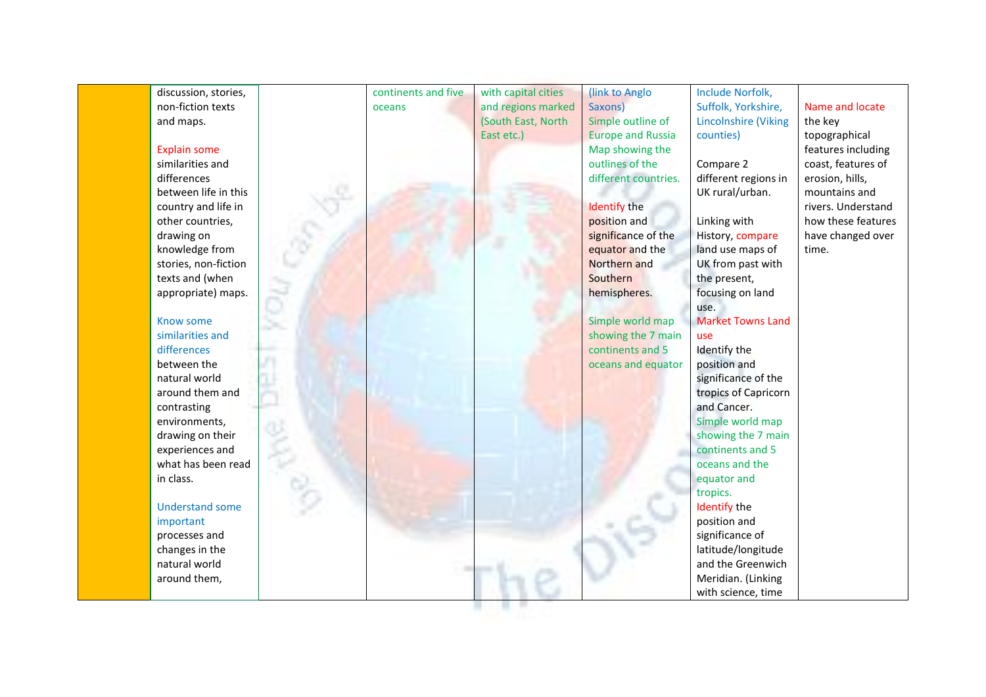| discussion, stories,   | continents and five | with capital cities | (link to Anglo           | Include Norfolk,            |                    |
|------------------------|---------------------|---------------------|--------------------------|-----------------------------|--------------------|
| non-fiction texts      | oceans              | and regions marked  | Saxons)                  | Suffolk, Yorkshire,         | Name and locate    |
| and maps.              |                     | (South East, North  | Simple outline of        | <b>Lincolnshire (Viking</b> | the key            |
|                        |                     | East etc.)          | <b>Europe and Russia</b> | counties)                   | topographical      |
| <b>Explain some</b>    |                     |                     | Map showing the          |                             | features including |
| similarities and       |                     |                     | outlines of the          | Compare 2                   | coast, features of |
| differences            |                     |                     | different countries.     | different regions in        | erosion, hills,    |
| between life in this   |                     |                     |                          | UK rural/urban.             | mountains and      |
| country and life in    |                     |                     | <b>Identify the</b>      |                             | rivers. Understand |
| other countries,       |                     |                     | position and             | Linking with                | how these features |
| drawing on             |                     |                     | significance of the      | History, compare            | have changed over  |
| knowledge from         |                     |                     | equator and the          | land use maps of            | time.              |
| stories, non-fiction   |                     |                     | Northern and             | UK from past with           |                    |
| texts and (when        |                     |                     | Southern                 | the present,                |                    |
| appropriate) maps.     |                     |                     | hemispheres.             | focusing on land            |                    |
|                        |                     |                     |                          | use.                        |                    |
| Know some              |                     |                     | Simple world map         | <b>Market Towns Land</b>    |                    |
| similarities and       |                     |                     | showing the 7 main       | use                         |                    |
| differences            |                     |                     | continents and 5         | Identify the                |                    |
| between the            |                     |                     | oceans and equator       | position and                |                    |
| natural world          |                     |                     |                          | significance of the         |                    |
| around them and        |                     |                     |                          | tropics of Capricorn        |                    |
| contrasting            |                     |                     |                          | and Cancer.                 |                    |
| environments,          |                     |                     |                          | Simple world map            |                    |
| drawing on their       |                     |                     |                          | showing the 7 main          |                    |
| experiences and        |                     |                     |                          | continents and 5            |                    |
| what has been read     |                     |                     |                          | oceans and the              |                    |
| in class.              |                     |                     |                          | equator and                 |                    |
|                        |                     |                     |                          | tropics.                    |                    |
| <b>Understand some</b> |                     |                     |                          | <b>Identify the</b>         |                    |
| important              |                     |                     |                          | position and                |                    |
| processes and          |                     |                     |                          | significance of             |                    |
| changes in the         |                     |                     |                          | latitude/longitude          |                    |
| natural world          |                     |                     |                          | and the Greenwich           |                    |
| around them,           |                     |                     |                          | Meridian. (Linking          |                    |
|                        |                     |                     |                          | with science, time          |                    |
|                        |                     |                     |                          |                             |                    |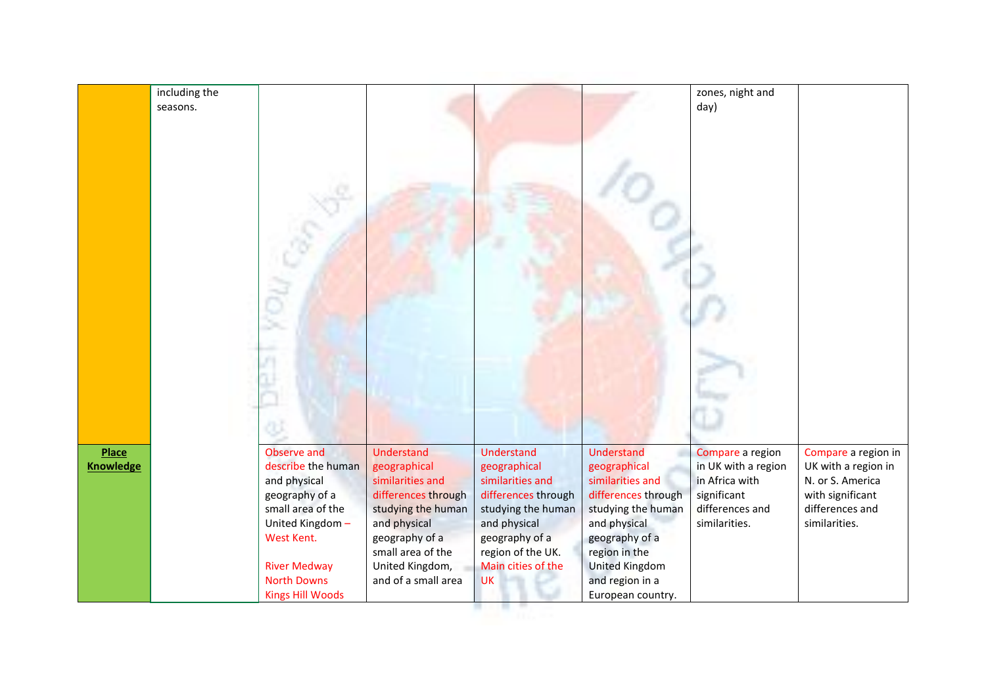|                                  | including the<br>seasons. |                                                                                                                                                                                                   |                                                                                                                                                                                                     |                                                                                                                                                                                              |                                                                                                                                                                                                                 | zones, night and<br>day)                                                                                     |                                                                                                                        |
|----------------------------------|---------------------------|---------------------------------------------------------------------------------------------------------------------------------------------------------------------------------------------------|-----------------------------------------------------------------------------------------------------------------------------------------------------------------------------------------------------|----------------------------------------------------------------------------------------------------------------------------------------------------------------------------------------------|-----------------------------------------------------------------------------------------------------------------------------------------------------------------------------------------------------------------|--------------------------------------------------------------------------------------------------------------|------------------------------------------------------------------------------------------------------------------------|
| <b>Place</b><br><b>Knowledge</b> |                           | Observe and<br>describe the human<br>and physical<br>geography of a<br>small area of the<br>United Kingdom-<br>West Kent.<br><b>River Medway</b><br><b>North Downs</b><br><b>Kings Hill Woods</b> | <b>Understand</b><br>geographical<br>similarities and<br>differences through<br>studying the human<br>and physical<br>geography of a<br>small area of the<br>United Kingdom,<br>and of a small area | <b>Understand</b><br>geographical<br>similarities and<br>differences through<br>studying the human<br>and physical<br>geography of a<br>region of the UK.<br>Main cities of the<br><b>UK</b> | Understand<br>geographical<br>similarities and<br>differences through<br>studying the human<br>and physical<br>geography of a<br>region in the<br><b>United Kingdom</b><br>and region in a<br>European country. | Compare a region<br>in UK with a region<br>in Africa with<br>significant<br>differences and<br>similarities. | Compare a region in<br>UK with a region in<br>N. or S. America<br>with significant<br>differences and<br>similarities. |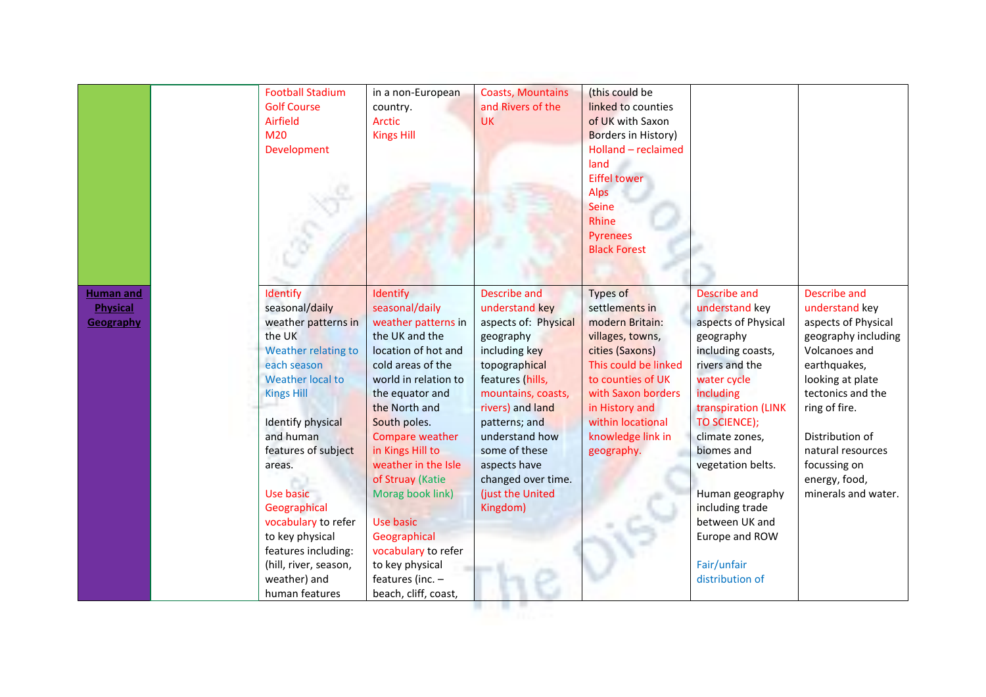|                                                  | <b>Football Stadium</b><br><b>Golf Course</b><br>Airfield<br>M <sub>20</sub><br>Development                                                                                                                                                                                                                                                                            | in a non-European<br>country.<br><b>Arctic</b><br><b>Kings Hill</b>                                                                                                                                                                                                                                                                                                                                                         | <b>Coasts, Mountains</b><br>and Rivers of the<br><b>UK</b>                                                                                                                                                                                                                                    | (this could be<br>linked to counties<br>of UK with Saxon<br><b>Borders in History)</b><br>Holland - reclaimed<br>land<br><b>Eiffel tower</b><br>Alps<br>Seine<br>Rhine<br><b>Pyrenees</b><br><b>Black Forest</b>                  |                                                                                                                                                                                                                                                                                                                                               |                                                                                                                                                                                                                                                                                |
|--------------------------------------------------|------------------------------------------------------------------------------------------------------------------------------------------------------------------------------------------------------------------------------------------------------------------------------------------------------------------------------------------------------------------------|-----------------------------------------------------------------------------------------------------------------------------------------------------------------------------------------------------------------------------------------------------------------------------------------------------------------------------------------------------------------------------------------------------------------------------|-----------------------------------------------------------------------------------------------------------------------------------------------------------------------------------------------------------------------------------------------------------------------------------------------|-----------------------------------------------------------------------------------------------------------------------------------------------------------------------------------------------------------------------------------|-----------------------------------------------------------------------------------------------------------------------------------------------------------------------------------------------------------------------------------------------------------------------------------------------------------------------------------------------|--------------------------------------------------------------------------------------------------------------------------------------------------------------------------------------------------------------------------------------------------------------------------------|
| <b>Human and</b><br><b>Physical</b><br>Geography | Identify<br>seasonal/daily<br>weather patterns in<br>the UK<br>Weather relating to<br>each season<br>Weather local to<br><b>Kings Hill</b><br>Identify physical<br>and human<br>features of subject<br>areas.<br>Use basic<br>Geographical<br>vocabulary to refer<br>to key physical<br>features including:<br>(hill, river, season,<br>weather) and<br>human features | Identify<br>seasonal/daily<br>weather patterns in<br>the UK and the<br>location of hot and<br>cold areas of the<br>world in relation to<br>the equator and<br>the North and<br>South poles.<br>Compare weather<br>in Kings Hill to<br>weather in the Isle<br>of Struay (Katie<br>Morag book link)<br><b>Use basic</b><br>Geographical<br>vocabulary to refer<br>to key physical<br>features (inc. -<br>beach, cliff, coast, | Describe and<br>understand key<br>aspects of: Physical<br>geography<br>including key<br>topographical<br>features (hills,<br>mountains, coasts,<br>rivers) and land<br>patterns; and<br>understand how<br>some of these<br>aspects have<br>changed over time.<br>(just the United<br>Kingdom) | Types of<br>settlements in<br>modern Britain:<br>villages, towns,<br>cities (Saxons)<br>This could be linked<br>to counties of UK<br>with Saxon borders<br>in History and<br>within locational<br>knowledge link in<br>geography. | Describe and<br>understand key<br>aspects of Physical<br>geography<br>including coasts,<br>rivers and the<br>water cycle<br>including<br>transpiration (LINK<br>TO SCIENCE);<br>climate zones,<br>biomes and<br>vegetation belts.<br>Human geography<br>including trade<br>between UK and<br>Europe and ROW<br>Fair/unfair<br>distribution of | <b>Describe and</b><br>understand key<br>aspects of Physical<br>geography including<br>Volcanoes and<br>earthquakes,<br>looking at plate<br>tectonics and the<br>ring of fire.<br>Distribution of<br>natural resources<br>focussing on<br>energy, food,<br>minerals and water. |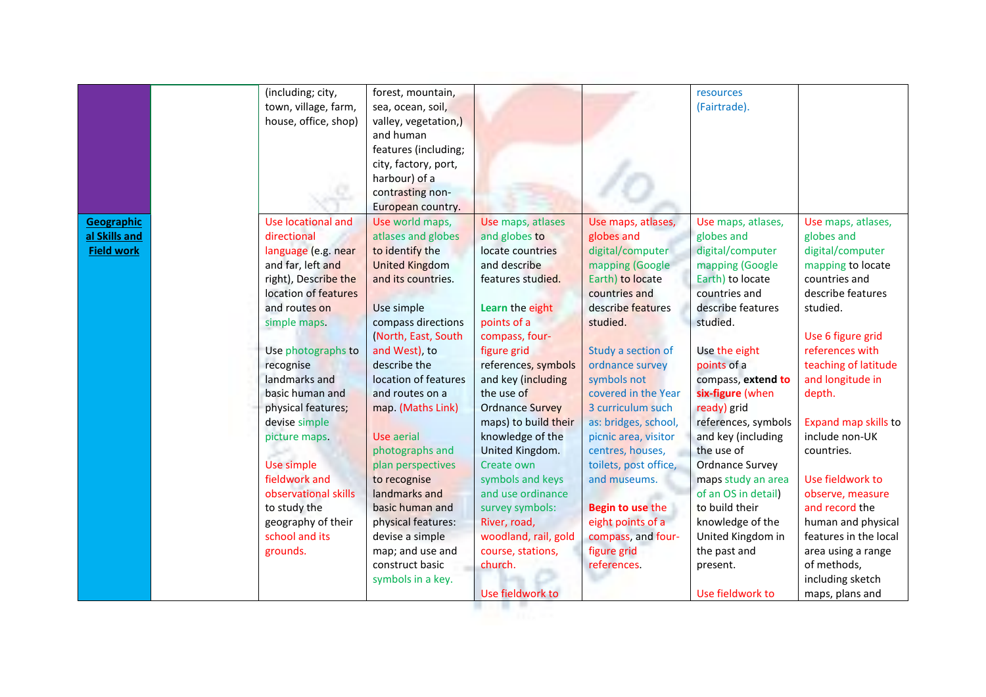|                   | (including; city,                        | forest, mountain,     |                        |                       | resources              |                       |
|-------------------|------------------------------------------|-----------------------|------------------------|-----------------------|------------------------|-----------------------|
|                   | town, village, farm,                     | sea, ocean, soil,     |                        |                       | (Fairtrade).           |                       |
|                   | house, office, shop)                     | valley, vegetation,)  |                        |                       |                        |                       |
|                   |                                          | and human             |                        |                       |                        |                       |
|                   |                                          | features (including;  |                        |                       |                        |                       |
|                   |                                          | city, factory, port,  |                        |                       |                        |                       |
|                   |                                          | harbour) of a         |                        |                       |                        |                       |
|                   |                                          | contrasting non-      |                        |                       |                        |                       |
|                   |                                          | European country.     |                        |                       |                        |                       |
| Geographic        | Use locational and                       | Use world maps,       | Use maps, atlases      | Use maps, atlases,    | Use maps, atlases,     | Use maps, atlases,    |
| al Skills and     | directional                              | atlases and globes    | and globes to          | globes and            | globes and             | globes and            |
| <b>Field work</b> |                                          | to identify the       | locate countries       | digital/computer      | digital/computer       | digital/computer      |
|                   | language (e.g. near<br>and far, left and | <b>United Kingdom</b> | and describe           | mapping (Google       | mapping (Google        | mapping to locate     |
|                   | right), Describe the                     | and its countries.    | features studied.      | Earth) to locate      | Earth) to locate       | countries and         |
|                   | location of features                     |                       |                        | countries and         | countries and          | describe features     |
|                   | and routes on                            |                       |                        | describe features     | describe features      | studied.              |
|                   |                                          | Use simple            | Learn the eight        |                       |                        |                       |
|                   | simple maps.                             | compass directions    | points of a            | studied.              | studied.               |                       |
|                   |                                          | (North, East, South   | compass, four-         |                       |                        | Use 6 figure grid     |
|                   | Use photographs to                       | and West), to         | figure grid            | Study a section of    | Use the eight          | references with       |
|                   | recognise                                | describe the          | references, symbols    | ordnance survey       | points of a            | teaching of latitude  |
|                   | landmarks and                            | location of features  | and key (including     | symbols not           | compass, extend to     | and longitude in      |
|                   | basic human and                          | and routes on a       | the use of             | covered in the Year   | six-figure (when       | depth.                |
|                   | physical features;                       | map. (Maths Link)     | <b>Ordnance Survey</b> | 3 curriculum such     | ready) grid            |                       |
|                   | devise simple                            |                       | maps) to build their   | as: bridges, school,  | references, symbols    | Expand map skills to  |
|                   | picture maps.                            | <b>Use aerial</b>     | knowledge of the       | picnic area, visitor  | and key (including     | include non-UK        |
|                   |                                          | photographs and       | United Kingdom.        | centres, houses,      | the use of             | countries.            |
|                   | Use simple                               | plan perspectives     | Create own             | toilets, post office, | <b>Ordnance Survey</b> |                       |
|                   | fieldwork and                            | to recognise          | symbols and keys       | and museums.          | maps study an area     | Use fieldwork to      |
|                   | observational skills                     | landmarks and         | and use ordinance      |                       | of an OS in detail)    | observe, measure      |
|                   | to study the                             | basic human and       | survey symbols:        | Begin to use the      | to build their         | and record the        |
|                   | geography of their                       | physical features:    | River, road,           | eight points of a     | knowledge of the       | human and physical    |
|                   | school and its                           | devise a simple       | woodland, rail, gold   | compass, and four-    | United Kingdom in      | features in the local |
|                   | grounds.                                 | map; and use and      | course, stations,      | figure grid           | the past and           | area using a range    |
|                   |                                          | construct basic       | church.                | references.           | present.               | of methods,           |
|                   |                                          | symbols in a key.     |                        |                       |                        | including sketch      |
|                   |                                          |                       | Use fieldwork to       |                       | Use fieldwork to       | maps, plans and       |
|                   |                                          |                       |                        |                       |                        |                       |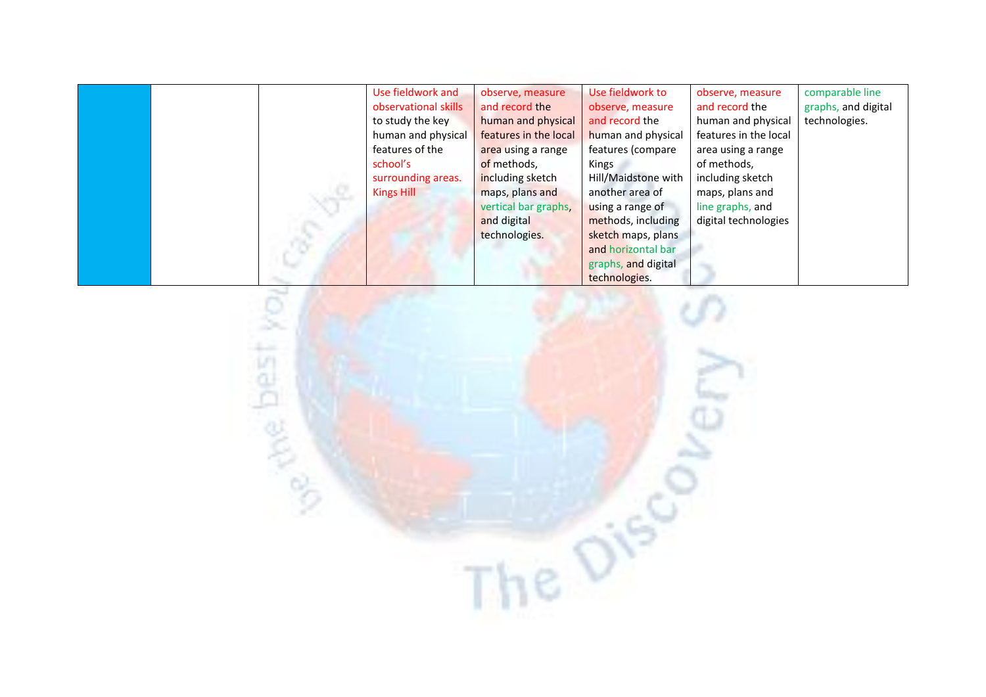|  | Use fieldwork and    | observe, measure      | Use fieldwork to    | observe, measure      | comparable line     |
|--|----------------------|-----------------------|---------------------|-----------------------|---------------------|
|  | observational skills | and record the        | observe, measure    | and record the        | graphs, and digital |
|  | to study the key     | human and physical    | and record the      | human and physical    | technologies.       |
|  | human and physical   | features in the local | human and physical  | features in the local |                     |
|  | features of the      | area using a range    | features (compare   | area using a range    |                     |
|  | school's             | of methods,           | Kings               | of methods,           |                     |
|  | surrounding areas.   | including sketch      | Hill/Maidstone with | including sketch      |                     |
|  | Kings Hill           | maps, plans and       | another area of     | maps, plans and       |                     |
|  |                      | vertical bar graphs,  | using a range of    | line graphs, and      |                     |
|  |                      | and digital           | methods, including  | digital technologies  |                     |
|  |                      | technologies.         | sketch maps, plans  |                       |                     |
|  |                      |                       | and horizontal bar  |                       |                     |
|  |                      |                       | graphs, and digital |                       |                     |
|  |                      |                       | technologies.       |                       |                     |